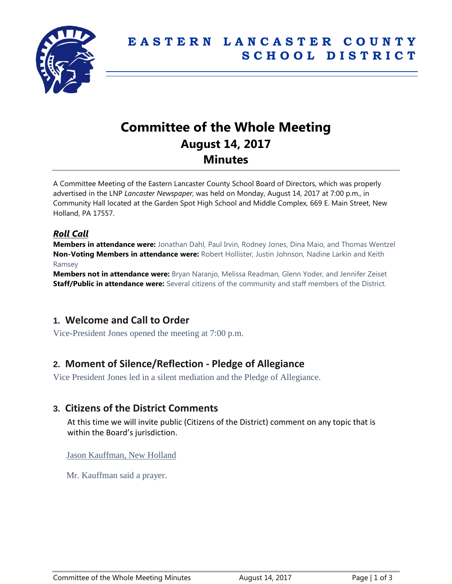

# **Committee of the Whole Meeting August 14, 2017 Minutes**

A Committee Meeting of the Eastern Lancaster County School Board of Directors, which was properly advertised in the LNP *Lancaster Newspaper*, was held on Monday, August 14, 2017 at 7:00 p.m., in Community Hall located at the Garden Spot High School and Middle Complex, 669 E. Main Street, New Holland, PA 17557.

### *Roll Call*

**Members in attendance were:** Jonathan Dahl, Paul Irvin, Rodney Jones, Dina Maio, and Thomas Wentzel **Non-Voting Members in attendance were:** Robert Hollister, Justin Johnson, Nadine Larkin and Keith Ramsey

**Members not in attendance were:** Bryan Naranjo, Melissa Readman, Glenn Yoder, and Jennifer Zeiset **Staff/Public in attendance were:** Several citizens of the community and staff members of the District.

# **1. Welcome and Call to Order**

Vice-President Jones opened the meeting at 7:00 p.m.

# **2. Moment of Silence/Reflection - Pledge of Allegiance**

Vice President Jones led in a silent mediation and the Pledge of Allegiance.

### **3. Citizens of the District Comments**

At this time we will invite public (Citizens of the District) comment on any topic that is within the Board's jurisdiction.

#### Jason Kauffman, New Holland

Mr. Kauffman said a prayer.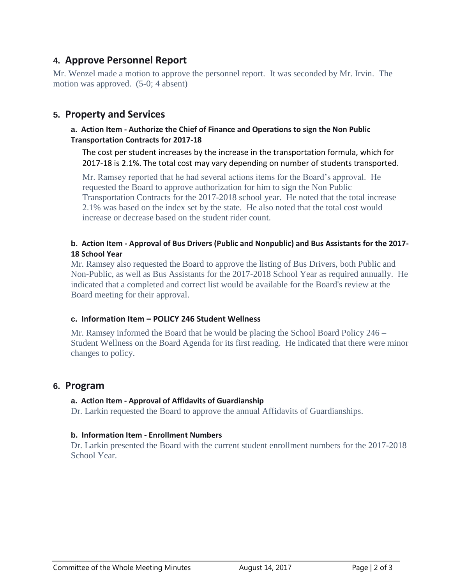# **4. Approve Personnel Report**

Mr. Wenzel made a motion to approve the personnel report. It was seconded by Mr. Irvin. The motion was approved. (5-0; 4 absent)

## **5. Property and Services**

#### **a. Action Item - Authorize the Chief of Finance and Operations to sign the Non Public Transportation Contracts for 2017-18**

The cost per student increases by the increase in the transportation formula, which for 2017-18 is 2.1%. The total cost may vary depending on number of students transported.

Mr. Ramsey reported that he had several actions items for the Board's approval. He requested the Board to approve authorization for him to sign the Non Public Transportation Contracts for the 2017-2018 school year. He noted that the total increase 2.1% was based on the index set by the state. He also noted that the total cost would increase or decrease based on the student rider count.

#### **b. Action Item - Approval of Bus Drivers (Public and Nonpublic) and Bus Assistants for the 2017- 18 School Year**

Mr. Ramsey also requested the Board to approve the listing of Bus Drivers, both Public and Non-Public, as well as Bus Assistants for the 2017-2018 School Year as required annually. He indicated that a completed and correct list would be available for the Board's review at the Board meeting for their approval.

#### **c. Information Item – POLICY 246 Student Wellness**

Mr. Ramsey informed the Board that he would be placing the School Board Policy 246 – Student Wellness on the Board Agenda for its first reading. He indicated that there were minor changes to policy.

### **6. Program**

#### **a. Action Item - Approval of Affidavits of Guardianship**

Dr. Larkin requested the Board to approve the annual Affidavits of Guardianships.

#### **b. Information Item - Enrollment Numbers**

Dr. Larkin presented the Board with the current student enrollment numbers for the 2017-2018 School Year.